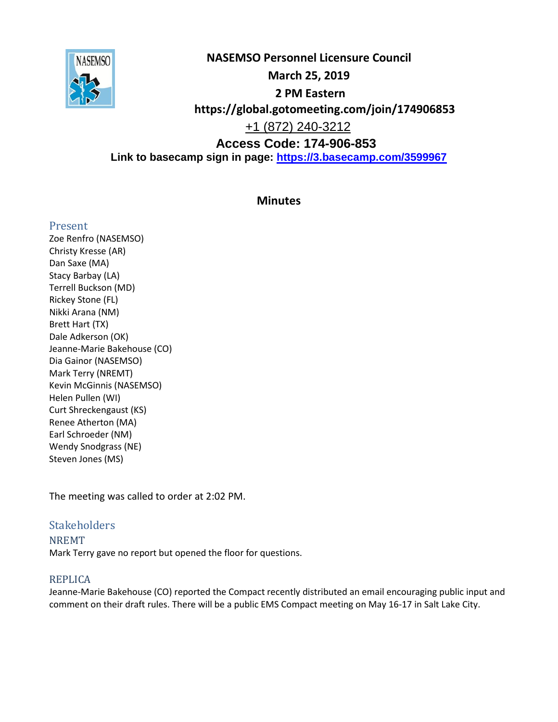

**NASEMSO Personnel Licensure Council March 25, 2019 2 PM Eastern https://global.gotomeeting.com/join/174906853**  +1 (872) 240-3212 **Access Code: 174-906-853 Link to basecamp sign in page:<https://3.basecamp.com/3599967>**

## **Minutes**

## Present

Zoe Renfro (NASEMSO) Christy Kresse (AR) Dan Saxe (MA) Stacy Barbay (LA) Terrell Buckson (MD) Rickey Stone (FL) Nikki Arana (NM) Brett Hart (TX) Dale Adkerson (OK) Jeanne-Marie Bakehouse (CO) Dia Gainor (NASEMSO) Mark Terry (NREMT) Kevin McGinnis (NASEMSO) Helen Pullen (WI) Curt Shreckengaust (KS) Renee Atherton (MA) Earl Schroeder (NM) Wendy Snodgrass (NE) Steven Jones (MS)

The meeting was called to order at 2:02 PM.

## **Stakeholders**

NREMT Mark Terry gave no report but opened the floor for questions.

## REPLICA

Jeanne-Marie Bakehouse (CO) reported the Compact recently distributed an email encouraging public input and comment on their draft rules. There will be a public EMS Compact meeting on May 16-17 in Salt Lake City.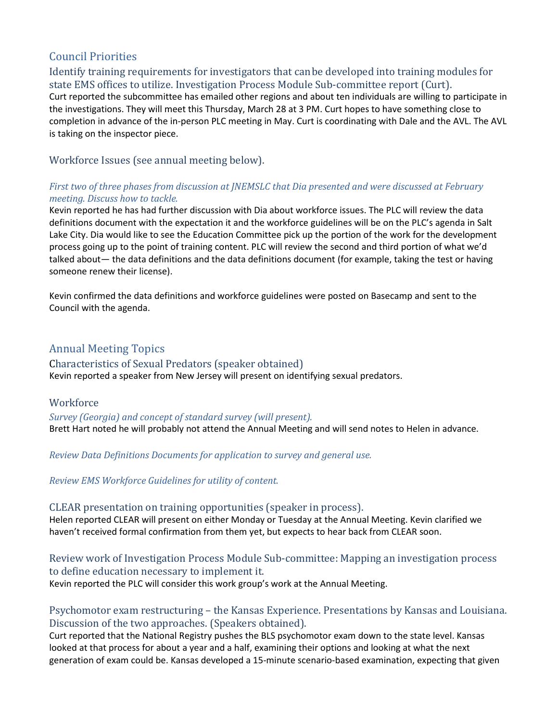# Council Priorities

Identify training requirements for investigators that canbe developed into training modules for state EMS offices to utilize. Investigation Process Module Sub-committee report (Curt).

Curt reported the subcommittee has emailed other regions and about ten individuals are willing to participate in the investigations. They will meet this Thursday, March 28 at 3 PM. Curt hopes to have something close to completion in advance of the in-person PLC meeting in May. Curt is coordinating with Dale and the AVL. The AVL is taking on the inspector piece.

Workforce Issues (see annual meeting below).

### *First two of three phases from discussion at JNEMSLC that Dia presented and were discussed at February meeting. Discuss how to tackle.*

Kevin reported he has had further discussion with Dia about workforce issues. The PLC will review the data definitions document with the expectation it and the workforce guidelines will be on the PLC's agenda in Salt Lake City. Dia would like to see the Education Committee pick up the portion of the work for the development process going up to the point of training content. PLC will review the second and third portion of what we'd talked about— the data definitions and the data definitions document (for example, taking the test or having someone renew their license).

Kevin confirmed the data definitions and workforce guidelines were posted on Basecamp and sent to the Council with the agenda.

# Annual Meeting Topics

## Characteristics of Sexual Predators (speaker obtained)

Kevin reported a speaker from New Jersey will present on identifying sexual predators.

## **Workforce**

### *Survey (Georgia) and concept of standard survey (will present).*

Brett Hart noted he will probably not attend the Annual Meeting and will send notes to Helen in advance.

*Review Data Definitions Documents for application to survey and general use.*

*Review EMS Workforce Guidelines for utility of content.*

### CLEAR presentation on training opportunities (speaker in process).

Helen reported CLEAR will present on either Monday or Tuesday at the Annual Meeting. Kevin clarified we haven't received formal confirmation from them yet, but expects to hear back from CLEAR soon.

### Review work of Investigation Process Module Sub-committee: Mapping an investigation process to define education necessary to implement it.

Kevin reported the PLC will consider this work group's work at the Annual Meeting.

## Psychomotor exam restructuring – the Kansas Experience. Presentations by Kansas and Louisiana. Discussion of the two approaches. (Speakers obtained).

Curt reported that the National Registry pushes the BLS psychomotor exam down to the state level. Kansas looked at that process for about a year and a half, examining their options and looking at what the next generation of exam could be. Kansas developed a 15-minute scenario-based examination, expecting that given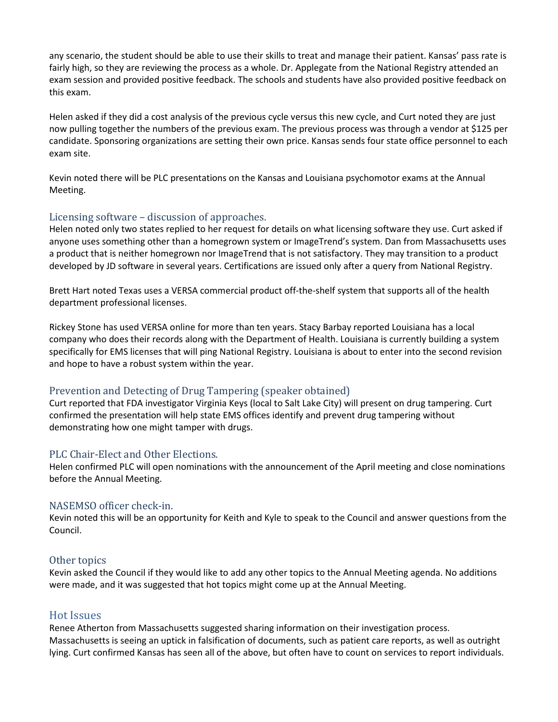any scenario, the student should be able to use their skills to treat and manage their patient. Kansas' pass rate is fairly high, so they are reviewing the process as a whole. Dr. Applegate from the National Registry attended an exam session and provided positive feedback. The schools and students have also provided positive feedback on this exam.

Helen asked if they did a cost analysis of the previous cycle versus this new cycle, and Curt noted they are just now pulling together the numbers of the previous exam. The previous process was through a vendor at \$125 per candidate. Sponsoring organizations are setting their own price. Kansas sends four state office personnel to each exam site.

Kevin noted there will be PLC presentations on the Kansas and Louisiana psychomotor exams at the Annual Meeting.

#### Licensing software – discussion of approaches.

Helen noted only two states replied to her request for details on what licensing software they use. Curt asked if anyone uses something other than a homegrown system or ImageTrend's system. Dan from Massachusetts uses a product that is neither homegrown nor ImageTrend that is not satisfactory. They may transition to a product developed by JD software in several years. Certifications are issued only after a query from National Registry.

Brett Hart noted Texas uses a VERSA commercial product off-the-shelf system that supports all of the health department professional licenses.

Rickey Stone has used VERSA online for more than ten years. Stacy Barbay reported Louisiana has a local company who does their records along with the Department of Health. Louisiana is currently building a system specifically for EMS licenses that will ping National Registry. Louisiana is about to enter into the second revision and hope to have a robust system within the year.

### Prevention and Detecting of Drug Tampering (speaker obtained)

Curt reported that FDA investigator Virginia Keys (local to Salt Lake City) will present on drug tampering. Curt confirmed the presentation will help state EMS offices identify and prevent drug tampering without demonstrating how one might tamper with drugs.

#### PLC Chair-Elect and Other Elections.

Helen confirmed PLC will open nominations with the announcement of the April meeting and close nominations before the Annual Meeting.

#### NASEMSO officer check-in.

Kevin noted this will be an opportunity for Keith and Kyle to speak to the Council and answer questions from the Council.

#### Other topics

Kevin asked the Council if they would like to add any other topics to the Annual Meeting agenda. No additions were made, and it was suggested that hot topics might come up at the Annual Meeting.

### Hot Issues

Renee Atherton from Massachusetts suggested sharing information on their investigation process. Massachusetts is seeing an uptick in falsification of documents, such as patient care reports, as well as outright lying. Curt confirmed Kansas has seen all of the above, but often have to count on services to report individuals.